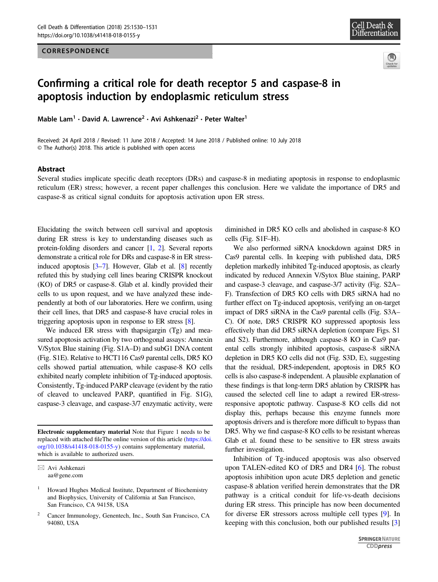### CORRESPONDENCE





# Confirming a critical role for death receptor 5 and caspase-8 in apoptosis induction by endoplasmic reticulum stress

Mable Lam<sup>1</sup> · David A. Lawrence<sup>2</sup> · Avi Ashkenazi<sup>2</sup> · Peter Walter<sup>1</sup>

Received: 24 April 2018 / Revised: 11 June 2018 / Accepted: 14 June 2018 / Published online: 10 July 2018 © The Author(s) 2018. This article is published with open access

#### Abstract

Several studies implicate specific death receptors (DRs) and caspase-8 in mediating apoptosis in response to endoplasmic reticulum (ER) stress; however, a recent paper challenges this conclusion. Here we validate the importance of DR5 and caspase-8 as critical signal conduits for apoptosis activation upon ER stress.

Elucidating the switch between cell survival and apoptosis during ER stress is key to understanding diseases such as protein-folding disorders and cancer [\[1](#page-1-0), [2\]](#page-1-0). Several reports demonstrate a critical role for DRs and caspase-8 in ER stressinduced apoptosis [\[3](#page-1-0)–[7\]](#page-1-0). However, Glab et al. [\[8](#page-1-0)] recently refuted this by studying cell lines bearing CRISPR knockout (KO) of DR5 or caspase-8. Glab et al. kindly provided their cells to us upon request, and we have analyzed these independently at both of our laboratories. Here we confirm, using their cell lines, that DR5 and caspase-8 have crucial roles in triggering apoptosis upon in response to ER stress [\[8\]](#page-1-0).

We induced ER stress with thapsigargin (Tg) and measured apoptosis activation by two orthogonal assays: Annexin V/Sytox Blue staining (Fig. S1A–D) and subG1 DNA content (Fig. S1E). Relative to HCT116 Cas9 parental cells, DR5 KO cells showed partial attenuation, while caspase-8 KO cells exhibited nearly complete inhibition of Tg-induced apoptosis. Consistently, Tg-induced PARP cleavage (evident by the ratio of cleaved to uncleaved PARP, quantified in Fig. S1G), caspase-3 cleavage, and caspase-3/7 enzymatic activity, were

Electronic supplementary material Note that Figure 1 needs to be replaced with attached fileThe online version of this article [\(https://doi.](https://doi.org/10.1038/s41418-018-0155-y) [org/10.1038/s41418-018-0155-y\)](https://doi.org/10.1038/s41418-018-0155-y) contains supplementary material, which is available to authorized users.

diminished in DR5 KO cells and abolished in caspase-8 KO cells (Fig. S1F–H).

We also performed siRNA knockdown against DR5 in Cas9 parental cells. In keeping with published data, DR5 depletion markedly inhibited Tg-induced apoptosis, as clearly indicated by reduced Annexin V/Sytox Blue staining, PARP and caspase-3 cleavage, and caspase-3/7 activity (Fig. S2A– F). Transfection of DR5 KO cells with DR5 siRNA had no further effect on Tg-induced apoptosis, verifying an on-target impact of DR5 siRNA in the Cas9 parental cells (Fig. S3A– C). Of note, DR5 CRISPR KO suppressed apoptosis less effectively than did DR5 siRNA depletion (compare Figs. S1 and S2). Furthermore, although caspase-8 KO in Cas9 parental cells strongly inhibited apoptosis, caspase-8 siRNA depletion in DR5 KO cells did not (Fig. S3D, E), suggesting that the residual, DR5-independent, apoptosis in DR5 KO cells is also caspase-8 independent. A plausible explanation of these findings is that long-term DR5 ablation by CRISPR has caused the selected cell line to adapt a rewired ER-stressresponsive apoptotic pathway. Caspase-8 KO cells did not display this, perhaps because this enzyme funnels more apoptosis drivers and is therefore more difficult to bypass than DR5. Why we find caspase-8 KO cells to be resistant whereas Glab et al. found these to be sensitive to ER stress awaits further investigation.

Inhibition of Tg-induced apoptosis was also observed upon TALEN-edited KO of DR5 and DR4 [[6\]](#page-1-0). The robust apoptosis inhibition upon acute DR5 depletion and genetic caspase-8 ablation verified herein demonstrates that the DR pathway is a critical conduit for life-vs-death decisions during ER stress. This principle has now been documented for diverse ER stressors across multiple cell types [\[9](#page-1-0)]. In keeping with this conclusion, both our published results [\[3](#page-1-0)]

 $\boxtimes$  Avi Ashkenazi [aa@gene.com](mailto:aa@gene.com)

<sup>1</sup> Howard Hughes Medical Institute, Department of Biochemistry and Biophysics, University of California at San Francisco, San Francisco, CA 94158, USA

<sup>2</sup> Cancer Immunology, Genentech, Inc., South San Francisco, CA 94080, USA